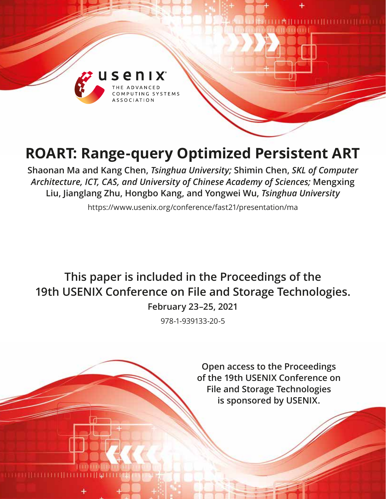

# **ROART: Range-query Optimized Persistent ART**

**Shaonan Ma and Kang Chen,** *Tsinghua University;* **Shimin Chen,** *SKL of Computer Architecture, ICT, CAS, and University of Chinese Academy of Sciences;* **Mengxing Liu, Jianglang Zhu, Hongbo Kang, and Yongwei Wu,** *Tsinghua University*

https://www.usenix.org/conference/fast21/presentation/ma

# **This paper is included in the Proceedings of the 19th USENIX Conference on File and Storage Technologies.**

**February 23–25, 2021**

978-1-939133-20-5

**Open access to the Proceedings of the 19th USENIX Conference on File and Storage Technologies is sponsored by USENIX.**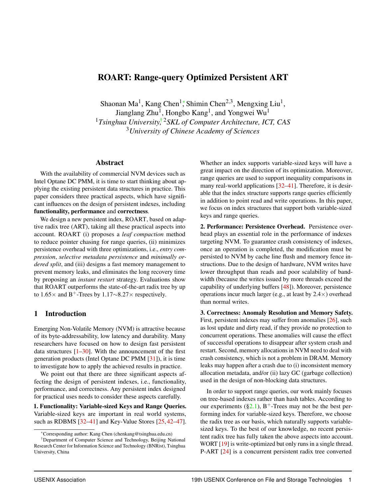# ROART: Range-query Optimized Persistent ART

Shaonan Ma<sup>1</sup>, Kang Chen<sup>1</sup>, Shimin Chen<sup>2,3</sup>, Mengxing Liu<sup>1</sup>,

Jianglang Zhu<sup>1</sup>, Hongbo Kang<sup>1</sup>, and Yongwei Wu<sup>1</sup> <sup>1</sup>Tsinghua University,<sup>† 2</sup>SKL of Computer Architecture, ICT, CAS <sup>3</sup>*University of Chinese Academy of Sciences*

#### Abstract

With the availability of commercial NVM devices such as Intel Optane DC PMM, it is time to start thinking about applying the existing persistent data structures in practice. This paper considers three practical aspects, which have significant influences on the design of persistent indexes, including functionality, performance and correctness.

We design a new persistent index, ROART, based on adaptive radix tree (ART), taking all these practical aspects into account. ROART (i) proposes a *leaf compaction* method to reduce pointer chasing for range queries, (ii) minimizes persistence overhead with three optimizations, i.e., *entry compression*, *selective metadata persistence* and *minimally ordered split*, and (iii) designs a fast memory management to prevent memory leaks, and eliminates the long recovery time by proposing an *instant restart* strategy. Evaluations show that ROART outperforms the state-of-the-art radix tree by up to 1.65 $\times$  and B<sup>+</sup>-Trees by 1.17∼8.27 $\times$  respectively.

## 1 Introduction

Emerging Non-Volatile Memory (NVM) is attractive because of its byte-addressability, low latency and durability. Many researchers have focused on how to design fast persistent data structures [\[1](#page-12-0)[–30\]](#page-14-0). With the announcement of the first generation products (Intel Optane DC PMM [\[31\]](#page-14-1)), it is time to investigate how to apply the achieved results in practice.

We point out that there are three significant aspects affecting the design of persistent indexes, i.e., functionality, performance, and correctness. Any persistent index designed for practical uses needs to consider these aspects carefully.

1. Functionality: Variable-sized Keys and Range Queries. Variable-sized keys are important in real world systems, such as RDBMS [\[32–](#page-14-2)[41\]](#page-14-3) and Key-Value Stores [\[25,](#page-14-4) [42–](#page-14-5)[47\]](#page-15-0). Whether an index supports variable-sized keys will have a great impact on the direction of its optimization. Moreover, range queries are used to support inequality comparisons in many real-world applications [\[32–](#page-14-2)[41\]](#page-14-3). Therefore, it is desirable that the index structure supports range queries efficiently in addition to point read and write operations. In this paper, we focus on index structures that support both variable-sized keys and range queries.

2. Performance: Persistence Overhead. Persistence overhead plays an essential role in the performance of indexes targeting NVM. To guarantee crash consistency of indexes, once an operation is completed, the modification must be persisted to NVM by cache line flush and memory fence instructions. Due to the design of hardware, NVM writes have lower throughput than reads and poor scalability of bandwidth (because the writes issued by more threads exceed the capability of underlying buffers [\[48\]](#page-15-1)). Moreover, persistence operations incur much larger (e.g., at least by  $2.4 \times$ ) overhead than normal writes.

3. Correctness: Anomaly Resolution and Memory Safety. First, persistent indexes may suffer from anomalies [\[26\]](#page-14-6), such as lost update and dirty read, if they provide no protection to concurrent operations. These anomalies will cause the effect of successful operations to disappear after system crash and restart. Second, memory allocations in NVM need to deal with crash consistency, which is not a problem in DRAM. Memory leaks may happen after a crash due to (i) inconsistent memory allocation metadata, and/or (ii) lazy GC (garbage collection) used in the design of non-blocking data structures.

In order to support range queries, our work mainly focuses on tree-based indexes rather than hash tables. According to our experiments ([§2.1\)](#page-2-0),  $B^+$ -Trees may not be the best performing index for variable-sized keys. Therefore, we choose the radix tree as our basis, which naturally supports variablesized keys. To the best of our knowledge, no recent persistent radix tree has fully taken the above aspects into account. WORT [\[19\]](#page-13-0) is write-optimized but only runs in a single thread. P-ART [\[24\]](#page-14-7) is a concurrent persistent radix tree converted

<sup>∗</sup>Corresponding author: Kang Chen (chenkang@tsinghua.edu.cn)

<sup>†</sup>Department of Computer Science and Technology, Beijing National Research Center for Information Science and Technology (BNRist), Tsinghua University, China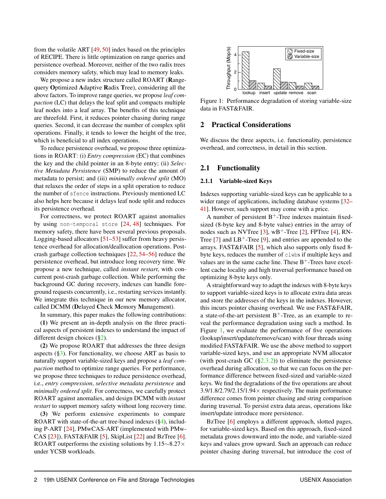from the volatile ART [\[49,](#page-15-2) [50\]](#page-15-3) index based on the principles of RECIPE. There is little optimization on range queries and persistence overhead. Moreover, neither of the two radix trees considers memory safety, which may lead to memory leaks.

We propose a new index structure called ROART (Rangequery Optimized Adaptive Radix Tree), considering all the above factors. To improve range queries, we propose *leaf compaction* (LC) that delays the leaf split and compacts multiple leaf nodes into a leaf array. The benefits of this technique are threefold. First, it reduces pointer chasing during range queries. Second, it can decrease the number of complex split operations. Finally, it tends to lower the height of the tree, which is beneficial to all index operations.

To reduce persistence overhead, we propose three optimizations in ROART: (i) *Entry compression* (EC) that combines the key and the child pointer in an 8-byte entry; (ii) *Selective Metadata Persistence* (SMP) to reduce the amount of metadata to persist; and (iii) *minimally ordered split* (MO) that relaxes the order of steps in a split operation to reduce the number of sfence instructions. Previously mentioned LC also helps here because it delays leaf node split and reduces its persistence overhead.

For correctness, we protect ROART against anomalies by using non-temporal store [\[24,](#page-14-7) [48\]](#page-15-1) techniques. For memory safety, there have been several previous proposals. Logging-based allocators [\[51–](#page-15-4)[53\]](#page-15-5) suffer from heavy persistence overhead for allocation/deallocation operations. Postcrash garbage collection techniques [\[22,](#page-13-1) [54](#page-15-6)[–56\]](#page-15-7) reduce the persistence overhead, but introduce long recovery time. We propose a new technique, called *instant restart*, with concurrent post-crash garbage collection. While performing the background GC during recovery, indexes can handle foreground requests concurrently, i.e., restarting services instantly. We integrate this technique in our new memory allocator, called DCMM (Delayed Check Memory Management).

In summary, this paper makes the following contributions:

(1) We present an in-depth analysis on the three practical aspects of persistent indexes to understand the impact of different design choices ([§2\)](#page-2-1).

(2) We propose ROART that addresses the three design aspects  $(\S_3)$ . For functionality, we choose ART as basis to naturally support variable-sized keys and propose a *leaf compaction* method to optimize range queries. For performance, we propose three techniques to reduce persistence overhead, i.e., *entry compression*, *selective metadata persistence* and *minimally ordered split*. For correctness, we carefully protect ROART against anomalies, and design DCMM with *instant restart* to support memory safety without long recovery time.

(3) We perform extensive experiments to compare ROART with state-of-the-art tree-based indexes ([§4\)](#page-9-0), including P-ART [\[24\]](#page-14-7), PMwCAS-ART (implemented with PMw-CAS [\[23\]](#page-13-2)), FAST&FAIR [\[5\]](#page-13-3), SkipList [\[22\]](#page-13-1) and BzTree [\[6\]](#page-13-4). ROART outperforms the existing solutions by 1.15∼8.27× under YCSB workloads.

<span id="page-2-2"></span>

Figure 1: Performance degradation of storing variable-size data in FAST&FAIR.

## <span id="page-2-1"></span>2 Practical Considerations

We discuss the three aspects, i.e. functionality, persistence overhead, and correctness, in detail in this section.

## <span id="page-2-0"></span>2.1 Functionality

#### 2.1.1 Variable-sized Keys

Indexes supporting variable-sized keys can be applicable to a wider range of applications, including database systems [\[32–](#page-14-2) [41\]](#page-14-3). However, such support may come with a price.

A number of persistent  $B^+$ -Tree indexes maintain fixedsized (8-byte key and 8-byte value) entries in the array of nodes such as NVTree  $[3]$ , wB<sup>+</sup>-Tree  $[2]$ , FPTree  $[4]$ , RN-Tree  $[7]$  and  $LB^+$ -Tree  $[9]$ , and entries are appended to the arrays. FAST&FAIR [\[5\]](#page-13-3), which also supports only fixed 8 byte keys, reduces the number of clwbs if multiple keys and values are in the same cache line. These  $B^+$ -Trees have excellent cache locality and high traversal performance based on optimizing 8-byte keys only.

A straightforward way to adapt the indexes with 8-byte keys to support variable-sized keys is to allocate extra data areas and store the addresses of the keys in the indexes. However, this incurs pointer chasing overhead. We use FAST&FAIR, a state-of-the-art persistent  $B^+$ -Tree, as an example to reveal the performance degradation using such a method. In Figure [1,](#page-2-2) we evaluate the performance of five operations (lookup/insert/update/remove/scan) with four threads using modified FAST&FAIR. We use the above method to support variable-sized keys, and use an appropriate NVM allocator (with post-crash GC  $(\S2.3.2)$ ) to eliminate the persistence overhead during allocation, so that we can focus on the performance difference between fixed-sized and variable-sized keys. We find the degradations of the five operations are about  $3.9/1.8/2.79/2.15/1.94 \times$  respectively. The main performance difference comes from pointer chasing and string comparison during traversal. To persist extra data areas, operations like insert/update introduce more persistence.

BzTree [\[6\]](#page-13-4) employs a different approach, slotted pages, for variable-sized keys. Based on this approach, fixed-sized metadata grows downward into the node, and variable-sized keys and values grow upward. Such an approach can reduce pointer chasing during traversal, but introduce the cost of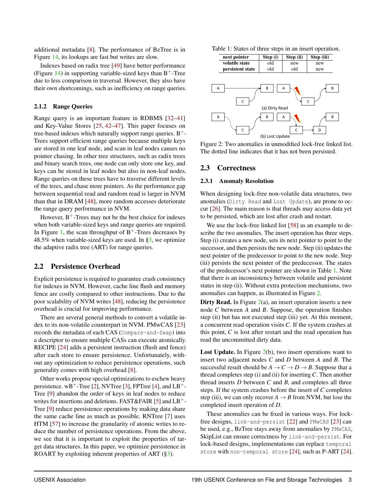additional metadata [\[8\]](#page-13-10). The performance of BzTree is in Figure [14,](#page-9-1) its lookups are fast but writes are slow.

Indexes based on radix tree [\[49\]](#page-15-2) have better performance (Figure [14\)](#page-9-1) in supporting variable-sized keys than  $B^+$ -Tree due to less comparison in traversal. However, they also have their own shortcomings, such as inefficiency on range queries.

#### 2.1.2 Range Queries

Range query is an important feature in RDBMS [\[32–](#page-14-2)[41\]](#page-14-3) and Key-Value Stores [\[25,](#page-14-4) [42–](#page-14-5)[47\]](#page-15-0). This paper focuses on tree-based indexes which naturally support range queries.  $B^+$ -Trees support efficient range queries because multiple keys are stored in one leaf node, and scan in leaf nodes causes no pointer chasing. In other tree structures, such as radix trees and binary search trees, one node can only store one key, and keys can be stored in leaf nodes but also in non-leaf nodes. Range queries on these trees have to traverse different levels of the trees, and chase more pointers. As the performance gap between sequential read and random read is larger in NVM than that in DRAM [\[48\]](#page-15-1), more random accesses deteriorate the range query performance in NVM.

However,  $B^+$ -Trees may not be the best choice for indexes when both variable-sized keys and range queries are required. In Figure [1,](#page-2-2) the scan throughput of  $B^+$ -Trees decreases by 48.5% when variable-sized keys are used. In  $\S$ 3, we optimize the adaptive radix tree (ART) for range queries.

## 2.2 Persistence Overhead

Explicit persistence is required to guarantee crash consistency for indexes in NVM. However, cache line flush and memory fence are costly compared to other instructions. Due to the poor scalability of NVM writes [\[48\]](#page-15-1), reducing the persistence overhead is crucial for improving performance.

There are several general methods to convert a volatile index to its non-volatile counterpart in NVM. PMwCAS [\[23\]](#page-13-2) records the metadata of each CAS (Compare-and-Swap) into a descriptor to ensure multiple CASs can execute atomically. RECIPE [\[24\]](#page-14-7) adds a persistent instruction (flush and fence) after each store to ensure persistence. Unfortunately, without any optimization to reduce persistence operations, such generality comes with high overhead [\[8\]](#page-13-10).

Other works propose special optimizations to eschew heavy persistence.  $wB^+$ -Tree [\[2\]](#page-13-6), NVTree [\[3\]](#page-13-5), FPTree [\[4\]](#page-13-7), and LB<sup>+</sup>-Tree [\[9\]](#page-13-9) abandon the order of keys in leaf nodes to reduce writes for insertions and deletions. FAST&FAIR [\[5\]](#page-13-3) and  $LB^+$ -Tree [\[9\]](#page-13-9) reduce persistence operations by making data share the same cache line as much as possible. RNTree [\[7\]](#page-13-8) uses HTM [\[57\]](#page-15-8) to increase the granularity of atomic writes to reduce the number of persistence operations. From the above, we see that it is important to exploit the properties of target data structures. In this paper, we optimize persistence in ROART by exploiting inherent properties of ART  $(\S_3)$ .

<span id="page-3-0"></span>



<span id="page-3-1"></span>

Figure 2: Two anomalies in unmodified lock-free linked list. The dotted line indicates that it has not been persisted.

#### 2.3 Correctness

#### <span id="page-3-2"></span>2.3.1 Anomaly Resolution

When designing lock-free non-volatile data structures, two anomalies (Dirty Read and Lost Update), are prone to occur [\[26\]](#page-14-6). The main reason is that threads may access data yet to be persisted, which are lost after crash and restart.

We use the lock-free linked list [\[58\]](#page-15-9) as an example to describe the two anomalies. The insert operation has three steps. Step (i) creates a new node, sets its next pointer to point to the successor, and then persists the new node. Step (ii) updates the next pointer of the predecessor to point to the new node. Step (iii) persists the next pointer of the predecessor. The states of the predecessor's next pointer are shown in Table [1.](#page-3-0) Note that there is an inconsistency between volatile and persistent states in step (ii). Without extra protection mechanisms, two anomalies can happen, as illustrated in Figure [2.](#page-3-1)

**Dirty Read.** In Figure  $2(a)$  $2(a)$ , an insert operation inserts a new node *C* between *A* and *B*. Suppose, the operation finishes step (ii) but has not executed step (iii) yet. At this moment, a concurrent read operation visits *C*. If the system crashes at this point, *C* is lost after restart and the read operation has read the uncommitted dirty data.

**Lost Update.** In Figure  $2(b)$  $2(b)$ , two insert operations want to insert two adjacent nodes *C* and *D* between *A* and *B*. The successful result should be  $A \to C \to D \to B$ . Suppose that a thread completes step  $(i)$  and  $(ii)$  for inserting  $C$ . Then another thread inserts *D* between *C* and *B*, and completes all three steps. If the system crashes before the insert of *C* completes step (iii), we can only recover  $A \rightarrow B$  from NVM, but lose the completed insert operation of *D*.

These anomalies can be fixed in various ways. For lockfree designs, link-and-persist [\[22\]](#page-13-1) and PMwCAS [\[23\]](#page-13-2) can be used, e.g., BzTree stays away from anomalies by PMwCAS, SkipList can ensure correctness by link-and-persist. For lock-based designs, implementations can replace temporal store with non-temporal store [\[24\]](#page-14-7), such as P-ART [\[24\]](#page-14-7).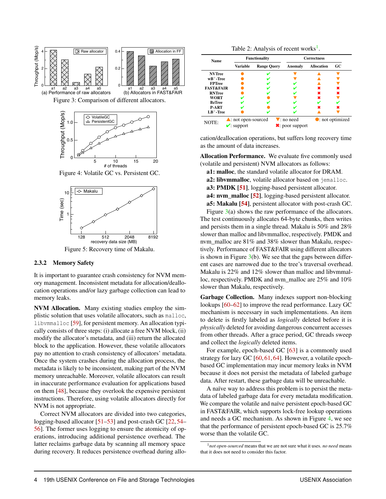<span id="page-4-3"></span><span id="page-4-2"></span>

<span id="page-4-4"></span>Figure 5: Recovery time of Makalu.

#### <span id="page-4-0"></span>2.3.2 Memory Safety

It is important to guarantee crash consistency for NVM memory management. Inconsistent metadata for allocation/deallocation operations and/or lazy garbage collection can lead to memory leaks.

NVM Allocation. Many existing studies employ the simplistic solution that uses volatile allocators, such as malloc, libvmmalloc [\[59\]](#page-15-10), for persistent memory. An allocation typically consists of three steps: (i) allocate a free NVM block, (ii) modify the allocator's metadata, and (iii) return the allocated block to the application. However, these volatile allocators pay no attention to crash consistency of allocators' metadata. Once the system crashes during the allocation process, the metadata is likely to be inconsistent, making part of the NVM memory unreachable. Moreover, volatile allocators can result in inaccurate performance evaluation for applications based on them [\[48\]](#page-15-1), because they overlook the expensive persistent instructions. Therefore, using volatile allocators directly for NVM is not appropriate.

Correct NVM allocators are divided into two categories, logging-based allocator [\[51–](#page-15-4)[53\]](#page-15-5) and post-crash GC [\[22,](#page-13-1) [54–](#page-15-6) [56\]](#page-15-7). The former uses logging to ensure the atomicity of operations, introducing additional persistence overhead. The latter reclaims garbage data by scanning all memory space during recovery. It reduces persistence overhead during allo-

Table 2: Analysis of recent works<sup>[1](#page-4-1)</sup>.

<span id="page-4-5"></span>

| <b>Name</b>          |                                |                 | <b>Functionality</b> |                              | <b>Correctness</b>        |             |  |
|----------------------|--------------------------------|-----------------|----------------------|------------------------------|---------------------------|-------------|--|
|                      |                                | <b>Variable</b> | <b>Range Query</b>   | Anomaly                      | <b>Allocation</b>         | $_{\rm GC}$ |  |
| <b>NVTree</b>        |                                |                 | ✔                    |                              |                           |             |  |
| $wB^+$ -Tree         |                                |                 |                      |                              |                           |             |  |
| <b>FPTree</b>        |                                |                 |                      |                              |                           |             |  |
| <b>FAST&amp;FAIR</b> |                                |                 |                      |                              |                           |             |  |
| <b>RNTree</b>        |                                |                 |                      |                              |                           | ×           |  |
| WORT                 |                                |                 |                      |                              |                           |             |  |
| <b>BzTree</b>        |                                |                 |                      |                              |                           |             |  |
| <b>P-ART</b>         |                                |                 |                      |                              |                           |             |  |
| $LB^+$ -Tree         |                                |                 |                      |                              |                           |             |  |
| NOTE:                | $\triangle$ : not open-sourced |                 |                      | $\blacktriangledown$ no need | $\bullet$ : not optimized |             |  |
|                      | $\triangleright$ support       |                 |                      | <b>*</b> : poor support      |                           |             |  |

cation/deallocation operations, but suffers long recovery time as the amount of data increases.

Allocation Performance. We evaluate five commonly used (volatile and persistent) NVM allocators as follows:

- a1: malloc, the standard volatile allocator for DRAM.
- a2: libvmmalloc, volatile allocator based on jemalloc.
- a3: PMDK [\[51\]](#page-15-4), logging-based persistent allocator.
- a4: nvm\_malloc [\[52\]](#page-15-11), logging-based persistent allocator. a5: Makalu [\[54\]](#page-15-6), persistent allocator with post-crash GC.

Figure  $3(a)$  $3(a)$  shows the raw performance of the allocators. The test continuously allocates 64-byte chunks, then writes and persists them in a single thread. Makalu is 50% and 28% slower than malloc and libvmmalloc, respectively. PMDK and nvm\_malloc are 81% and 38% slower than Makalu, respectively. Performance of FAST&FAIR using different allocators is shown in Figure  $3(b)$  $3(b)$ . We see that the gaps between different cases are narrowed due to the tree's traversal overhead. Makalu is 22% and 12% slower than malloc and libvmmalloc, respectively. PMDK and nvm\_malloc are 25% and 10% slower than Makalu, respectively.

Garbage Collection. Many indexes support non-blocking lookups [\[60](#page-15-12)[–62\]](#page-15-13) to improve the read performance. Lazy GC mechanism is necessary in such implementations. An item to delete is firstly labeled as *logically* deleted before it is *physically* deleted for avoiding dangerous concurrent accesses from other threads. After a grace period, GC threads sweep and collect the *logically* deleted items.

For example, epoch-based GC [\[63\]](#page-15-14) is a commonly used strategy for lazy GC [\[60,](#page-15-12) [61,](#page-15-15) [64\]](#page-15-16). However, a volatile epochbased GC implementation may incur memory leaks in NVM because it does not persist the metadata of labeled garbage data. After restart, these garbage data will be unreachable.

A naïve way to address this problem is to persist the metadata of labeled garbage data for every metadata modification. We compare the volatile and naïve persistent epoch-based GC in FAST&FAIR, which supports lock-free lookup operations and needs a GC mechanism. As shown in Figure [4,](#page-4-3) we see that the performance of persistent epoch-based GC is 25.7% worse than the volatile GC.

<span id="page-4-1"></span><sup>1</sup>*not open-sourced* means that we are not sure what it uses. *no need* means that it does not need to consider this factor.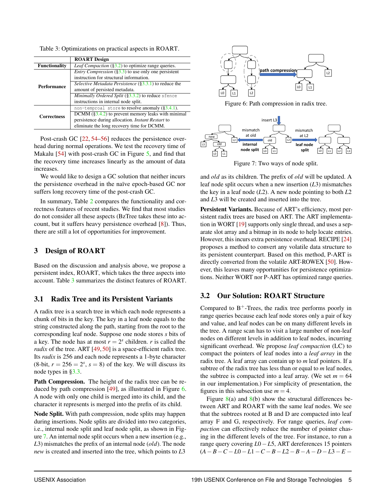<span id="page-5-2"></span>Table 3: Optimizations on practical aspects in ROART.

| <b>ROART</b> Design                                        |  |  |  |  |  |
|------------------------------------------------------------|--|--|--|--|--|
| Leaf Compaction $(\S3.2)$ to optimize range queries.       |  |  |  |  |  |
| <i>Entry Compression</i> (§3.3) to use only one persistent |  |  |  |  |  |
| instruction for structural information.                    |  |  |  |  |  |
| Selective Metadata Persistence $(\S 3.3.1)$ to reduce the  |  |  |  |  |  |
| amount of persisted metadata.                              |  |  |  |  |  |
| Minimally Ordered Split $(\S3.3.2)$ to reduce sfence       |  |  |  |  |  |
| instructions in internal node split.                       |  |  |  |  |  |
| non-temproal store to resolve anomaly (§3.4.1).            |  |  |  |  |  |
| DCMM $(\S3.4.2)$ to prevent memory leaks with minimal      |  |  |  |  |  |
| persistence during allocation. <i>Instant Restart</i> to   |  |  |  |  |  |
| eliminate the long recovery time for DCMM.                 |  |  |  |  |  |
|                                                            |  |  |  |  |  |

Post-crash GC [\[22,](#page-13-1) [54–](#page-15-6)[56\]](#page-15-7) reduces the persistence overhead during normal operations. We test the recovery time of Makalu [\[54\]](#page-15-6) with post-crash GC in Figure [5,](#page-4-4) and find that the recovery time increases linearly as the amount of data increases.

We would like to design a GC solution that neither incurs the persistence overhead in the naïve epoch-based GC nor suffers long recovery time of the post-crash GC.

In summary, Table [2](#page-4-5) compares the functionality and correctness features of recent studies. We find that most studies do not consider all these aspects (BzTree takes these into account, but it suffers heavy persistence overhead [\[8\]](#page-13-10)). Thus, there are still a lot of opportunities for improvement.

## <span id="page-5-0"></span>3 Design of ROART

Based on the discussion and analysis above, we propose a persistent index, ROART, which takes the three aspects into account. Table [3](#page-5-2) summarizes the distinct features of ROART.

## 3.1 Radix Tree and its Persistent Variants

A radix tree is a search tree in which each node represents a chunk of bits in the key. The key in a leaf node equals to the string constructed along the path, starting from the root to the corresponding leaf node. Suppose one node stores *s* bits of a key. The node has at most  $r = 2<sup>s</sup>$  children. *r* is called the *radix* of the tree. ART [\[49,](#page-15-2) [50\]](#page-15-3) is a space-efficient radix tree. Its *radix* is 256 and each node represents a 1-byte character  $(8-bit, r = 256 = 2<sup>s</sup>, s = 8)$  of the key. We will discuss its node types in [§3.3.](#page-6-0)

Path Compression. The height of the radix tree can be reduced by path compression [\[49\]](#page-15-2), as illustrated in Figure [6.](#page-5-3) A node with only one child is merged into its child, and the character it represents is merged into the prefix of its child.

Node Split. With path compression, node splits may happen during insertions. Node splits are divided into two categories, i.e., internal node split and leaf node split, as shown in Figure [7.](#page-5-4) An internal node split occurs when a new insertion (e.g., *L*3) mismatches the prefix of an internal node (*old*). The node *new* is created and inserted into the tree, which points to *L*3

<span id="page-5-3"></span>

Figure 6: Path compression in radix tree.

<span id="page-5-4"></span>

Figure 7: Two ways of node split.

and *old* as its children. The prefix of *old* will be updated. A leaf node split occurs when a new insertion (*L*3) mismatches the key in a leaf node (*L*2). A new node pointing to both *L*2 and *L*3 will be created and inserted into the tree.

Persistent Variants. Because of ART's efficiency, most persistent radix trees are based on ART. The ART implementation in WORT [\[19\]](#page-13-0) supports only single thread, and uses a separate slot array and a bitmap in its node to help locate entries. However, this incurs extra persistence overhead. RECIPE [\[24\]](#page-14-7) proposes a method to convert any volatile data structure to its persistent counterpart. Based on this method, P-ART is directly converted from the volatile ART-ROWEX [\[50\]](#page-15-3). However, this leaves many opportunities for persistence optimizations. Neither WORT nor P-ART has optimized range queries.

## <span id="page-5-1"></span>3.2 Our Solution: ROART Structure

Compared to  $B^+$ -Trees, the radix tree performs poorly in range queries because each leaf node stores only a pair of key and value, and leaf nodes can be on many different levels in the tree. A range scan has to visit a large number of non-leaf nodes on different levels in addition to leaf nodes, incurring significant overhead. We propose *leaf compaction* (LC) to compact the pointers of leaf nodes into a *leaf array* in the radix tree. A leaf array can contain up to *m* leaf pointers. If a subtree of the radix tree has less than or equal to *m* leaf nodes, the subtree is compacted into a leaf array. (We set  $m = 64$ in our implementation.) For simplicity of presentation, the figures in this subsection use  $m = 4$ .

Figure  $8(a)$  $8(a)$  and  $8(b)$  show the structural differences between ART and ROART with the same leaf nodes. We see that the subtrees rooted at B and D are compacted into leaf array F and G, respectively. For range queries, *leaf compaction* can effectively reduce the number of pointer chasing in the different levels of the tree. For instance, to run a range query covering *L*0−*L*5, ART dereferences 15 pointers (*A*−*B*−*C* −*L*0−*L*1−*C* −*B*−*L*2−*B*−*A*−*D*−*L*3−*E* −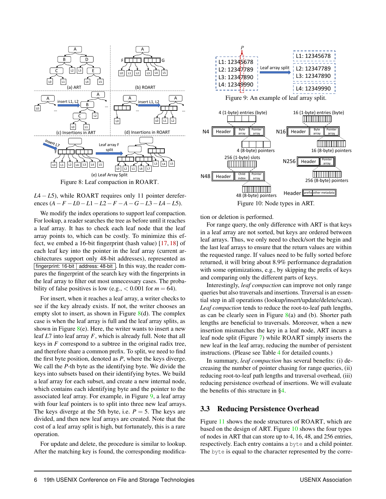<span id="page-6-1"></span>

*L*4 − *L*5), while ROART requires only 11 pointer dereferences (*A*−*F* −*L*0−*L*1−*L*2−*F* −*A*−*G*−*L*3−*L*4−*L*5).

We modify the index operations to support leaf compaction. For lookup, a reader searches the tree as before until it reaches a leaf array. It has to check each leaf node that the leaf array points to, which can be costly. To minimize this effect, we embed a 16-bit fingerprint (hash value) [\[17,](#page-13-11) [18\]](#page-13-12) of each leaf key into the pointer in the leaf array (current architectures support only 48-bit addresses), represented as fingerprint: 16-bit | address: 48-bit . In this way, the reader compares the fingerprint of the search key with the fingerprints in the leaf array to filter out most unnecessary cases. The probability of false positives is low (e.g.,  $< 0.001$  for  $m = 64$ ).

For insert, when it reaches a leaf array, a writer checks to see if the key already exists. If not, the writer chooses an empty slot to insert, as shown in Figure  $8(d)$  $8(d)$ . The complex case is when the leaf array is full and the leaf array splits, as shown in Figure  $8(e)$  $8(e)$ . Here, the writer wants to insert a new leaf *L*7 into leaf array *F*, which is already full. Note that all keys in *F* correspond to a subtree in the original radix tree, and therefore share a common prefix. To split, we need to find the first byte position, denoted as *P*, where the keys diverge. We call the *P*-th byte as the identifying byte. We divide the keys into subsets based on their identifying bytes. We build a leaf array for each subset, and create a new internal node, which contains each identifying byte and the pointer to the associated leaf array. For example, in Figure [9,](#page-6-2) a leaf array with four leaf pointers is to split into three new leaf arrays. The keys diverge at the 5th byte, i.e.  $P = 5$ . The keys are divided, and then new leaf arrays are created. Note that the cost of a leaf array split is high, but fortunately, this is a rare operation.

For update and delete, the procedure is similar to lookup. After the matching key is found, the corresponding modifica-

<span id="page-6-3"></span><span id="page-6-2"></span>

tion or deletion is performed.

For range query, the only difference with ART is that keys in a leaf array are not sorted, but keys are ordered between leaf arrays. Thus, we only need to check/sort the begin and the last leaf arrays to ensure that the return values are within the requested range. If values need to be fully sorted before returned, it will bring about 8.9% performance degradation with some optimizations, e.g., by skipping the prefix of keys and comparing only the different parts of keys.

Interestingly, *leaf compaction* can improve not only range queries but also traversals and insertions. Traversal is an essential step in all operations (lookup/insert/update/delete/scan). *Leaf compaction* tends to reduce the root-to-leaf path lengths, as can be clearly seen in Figure  $8(a)$  $8(a)$  and (b). Shorter path lengths are beneficial to traversals. Moreover, when a new insertion mismatches the key in a leaf node, ART incurs a leaf node split (Figure [7\)](#page-5-4) while ROART simply inserts the new leaf in the leaf array, reducing the number of persistent instructions. (Please see Table [4](#page-7-3) for detailed counts.)

In summary, *leaf compaction* has several benefits: (i) decreasing the number of pointer chasing for range queries, (ii) reducing root-to-leaf path lengths and traversal overhead, (iii) reducing persistence overhead of insertions. We will evaluate the benefits of this structure in [§4.](#page-9-0)

## <span id="page-6-0"></span>3.3 Reducing Persistence Overhead

Figure [11](#page-7-4) shows the node structures of ROART, which are based on the design of ART. Figure [10](#page-6-3) shows the four types of nodes in ART that can store up to 4, 16, 48, and 256 entries, respectively. Each entry contains a byte and a child pointer. The byte is equal to the character represented by the corre-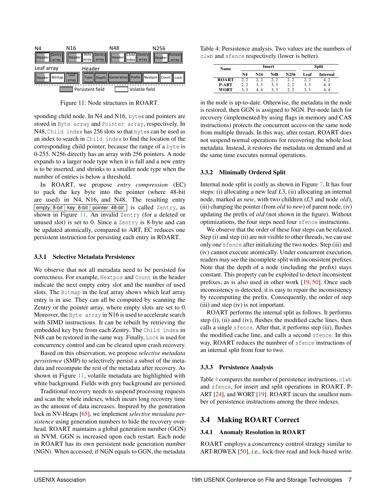<span id="page-7-4"></span>

Figure 11: Node structures in ROART.

0-255. N256 directly has an array with 256 pointers. A node sponding child node. In N4 and N16, bytes and pointers are stored in Byte array and Pointer array, respectively. In N48, Child index has 256 slots so that bytes can be used as an index to search in Child index to find the location of the corresponding child pointer, because the range of a byte is expands to a larger node type when it is full and a new entry is to be inserted, and shrinks to a smaller node type when the number of entries is below a threshold.

In ROART, we propose *entry compression* (EC) to pack the key byte into the pointer (where 48-bit are used) in N4, N16, and N48. The resulting entry empty: 8-bit | key: 8-bit | pointer: 48-bit | is called Zentry, as shown in Figure [11.](#page-7-4) An invalid Zentry (for a deleted or unused slot) is set to 0. Since a Zentry is 8-byte and can be updated atomically, compared to ART, EC reduces one persistent instruction for persisting each entry in ROART.

#### <span id="page-7-0"></span>3.3.1 Selective Metadata Persistence

We observe that not all metadata need to be persisted for correctness. For example, Nextpos and Count in the header indicate the next empty entry slot and the number of used slots. The Bitmap in the leaf array shows which leaf array entry is in use. They can all be computed by scanning the Zentry or the pointer array, where empty slots are set to 0. Moreover, the Byte array in N16 is used to accelerate search with SIMD instructions. It can be rebuilt by retrieving the embedded key byte from each Zentry. The Child index in N48 can be restored in the same way. Finally, Lock is used for concurrency control and can be cleared upon crash recovery.

Based on this observation, we propose *selective metadata persistence* (SMP) to selectively persist a subset of the metadata and recompute the rest of the metadata after recovery. As shown in Figure [11,](#page-7-4) volatile metadata are highlighted with white background. Fields with grey background are persisted.

Traditional recovery needs to suspend processing requests and scan the whole indexes, which incurs long recovery time as the amount of data increases. Inspired by the generation lock in NV-Heaps [\[65\]](#page-15-17), we implement *selective metadata persistence* using generation numbers to hide the recovery overhead. ROART maintains a global generation number (GGN) in NVM. GGN is increased upon each restart. Each node in ROART has its own persistent node generation number (NGN). When accessed, if NGN equals to GGN, the metadata

<span id="page-7-3"></span>Table 4: Persistence analysis. Two values are the numbers of clwb and sfence respectively (lower is better).

| <b>Name</b>  | Insert |      |      |      | <b>Split</b> |                 |
|--------------|--------|------|------|------|--------------|-----------------|
|              | N4     | N16  | N48  | N256 | Leaf         | <b>Internal</b> |
| <b>ROART</b> | 2. 2   | 2.2  | 2, 2 | 2.2  | 2, 2         | 4. Z            |
| <b>P-ART</b> | 2.2    | 3, 3 | 3, 3 | 2.2  | 3.3          | 4, 4            |
| <b>WORT</b>  | 3.3    | 4.4  | 3.3  |      | 3.3          | 4               |

in the node is up-to-date. Otherwise, the metadata in the node is restored, then GGN is assigned to NGN. Per-node latch for recovery (implemented by using flags in memory and CAS instructions) protects the concurrent access on the same node from multiple threads. In this way, after restart, ROART does not suspend normal operations for recovering the whole lost metadata. Instead, it restores the metadata on demand and at the same time executes normal operations.

#### <span id="page-7-1"></span>3.3.2 Minimally Ordered Split

Internal node split is costly as shown in Figure [7.](#page-5-4) It has four steps: (i) allocating a new leaf *L*3, (ii) allocating an internal node, marked as *new*, with two children (*L*3 and node *old*), (iii) changing the pointer (from *old* to *new*) of parent node, (iv) updating the prefix of *old* (not shown in the figure). Without optimizations, the four steps need four sfence instructions.

We observe that the order of these four steps can be relaxed. Step (i) and step (ii) are not visible to other threads, we can use only one sfence after initializing the two nodes. Step (iii) and (iv) cannot execute atomically. Under concurrent execution, readers may see the incomplete split with inconsistent prefixes. Note that the depth of a node (including the prefix) stays constant. This property can be exploited to detect inconsistent prefixes, as is also used in other work [\[19,](#page-13-0) [50\]](#page-15-3). Once such inconsistency is detected, it is easy to repair the inconsistency by recomputing the prefix. Consequently, the order of step (iii) and step (iv) is not important.

ROART performs the internal split as follows. It performs step (i), (ii) and (iv), flushes the modified cache lines, then calls a single sfence. After that, it performs step (iii), flushes the modified cache line, and calls a second sfence. In this way, ROART reduces the numbrer of sfence instructions of an internal split from four to two.

#### 3.3.3 Persistence Analysis

Table [4](#page-7-3) compares the number of persistence instructions, clwb and sfence, for insert and split operations in ROART, P-ART [\[24\]](#page-14-7), and WORT [\[19\]](#page-13-0). ROART incurs the smallest number of persistence instructions among the three indexes.

## 3.4 Making ROART Correct

#### <span id="page-7-2"></span>3.4.1 Anomaly Resolution in ROART

ROART employs a concurrency control strategy similar to ART-ROWEX [\[50\]](#page-15-3), i.e., lock-free read and lock-based write.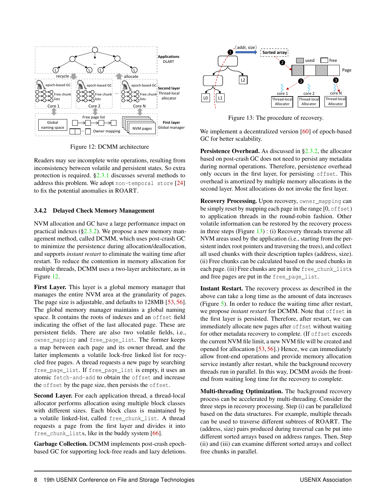<span id="page-8-1"></span>

Figure 12: DCMM architecture

Readers may see incomplete write operations, resulting from inconsistency between volatile and persistent states. So extra protection is required. [§2.3.1](#page-3-2) discusses several methods to address this problem. We adopt non-temporal store [\[24\]](#page-14-7) to fix the potential anomalies in ROART.

#### <span id="page-8-0"></span>3.4.2 Delayed Check Memory Management

NVM allocation and GC have a large performance impact on practical indexes  $(\S2.3.2)$ . We propose a new memory management method, called DCMM, which uses post-crash GC to minimize the persistence during allocation/deallocation, and supports *instant restart* to eliminate the waiting time after restart. To reduce the contention in memory allocation for multiple threads, DCMM uses a two-layer architecture, as in Figure [12.](#page-8-1)

First Layer. This layer is a global memory manager that manages the entire NVM area at the granularity of pages. The page size is adjustable, and defaults to 128MB [\[53,](#page-15-5) [56\]](#page-15-7). The global memory manager maintains a global naming space. It contains the roots of indexes and an offset field indicating the offset of the last allocated page. These are persistent fields. There are also two volatile fields, i.e., owner\_mapping and free\_page\_list. The former keeps a map between each page and its owner thread, and the latter implements a volatile lock-free linked list for recycled free pages. A thread requests a new page by searching free\_page\_list. If free\_page\_list is empty, it uses an atomic fetch-and-add to obtain the offset and increase the offset by the page size, then persists the offset.

Second Layer. For each application thread, a thread-local allocator performs allocation using multiple block classes with different sizes. Each block class is maintained by a volatile linked-list, called free\_chunk\_list. A thread requests a page from the first layer and divides it into free\_chunk\_lists, like in the buddy system [\[66\]](#page-15-18).

Garbage Collection. DCMM implements post-crash epochbased GC for supporting lock-free reads and lazy deletions.

<span id="page-8-2"></span>

Figure 13: The procedure of recovery.

We implement a decentralized version [\[60\]](#page-15-12) of epoch-based GC for better scalability.

during normal operations. Therefore, persistence overhead second layer. Most allocations do not invoke the first layer. overhead is amortized by multiple memory allocations in the Persistence Overhead. As discussed in [§2.3.2,](#page-4-0) the allocator based on post-crash GC does not need to persist any metadata only occurs in the first layer, for persisting offset. This

Recovery Processing. Upon recovery, owner\_mapping can be simply reset by mapping each page in the range [0, offset) to application threads in the round-robin fashion. Other volatile information can be restored by the recovery process in three steps (Figure [13\)](#page-8-2) : (i) Recovery threads traverse all NVM areas used by the application (i.e., starting from the persistent index root pointers and traversing the trees), and collect all used chunks with their description tuples (address, size). (ii) Free chunks can be calculated based on the used chunks in each page. (iii) Free chunks are put in the free\_chunk\_lists and free pages are put in the free\_page\_list.

Instant Restart. The recovery process as described in the above can take a long time as the amount of data increases (Figure [5\)](#page-4-4). In order to reduce the waiting time after restart, we propose *instant restart* for DCMM. Note that offset in the first layer is persisted. Therefore, after restart, we can immediately allocate new pages after offset without waiting for other metadata recovery to complete. (If offset exceeds the current NVM file limit, a new NVM file will be created and opened for allocation [\[53,](#page-15-5) [56\]](#page-15-7).) Hence, we can immediately allow front-end operations and provide memory allocation service instantly after restart, while the background recovery threads run in parallel. In this way, DCMM avoids the frontend from waiting long time for the recovery to complete.

Multi-threading Optimization. The background recovery process can be accelerated by multi-threading. Consider the three steps in recovery processing. Step (i) can be parallelized based on the data structures. For example, multiple threads can be used to traverse different subtrees of ROART. The (address, size) pairs produced during traversal can be put into different sorted arrays based on address ranges. Then, Step (ii) and (iii) can examine different sorted arrays and collect free chunks in parallel.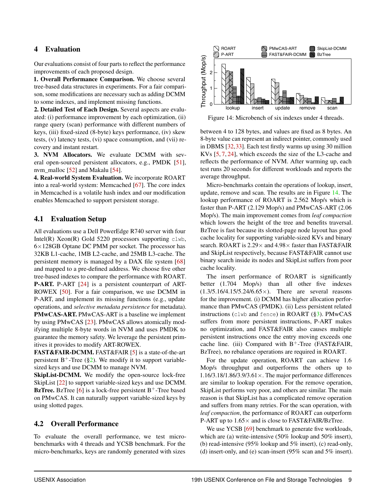## <span id="page-9-0"></span>4 Evaluation

Our evaluations consist of four parts to reflect the performance improvements of each proposed design.

1. Overall Performance Comparison. We choose several tree-based data structures in experiments. For a fair comparison, some modifications are necessary such as adding DCMM to some indexes, and implement missing functions.

2. Detailed Test of Each Design. Several aspects are evaluated: (i) performance improvement by each optimization, (ii) range query (scan) performance with different numbers of keys, (iii) fixed-sized (8-byte) keys performance, (iv) skew tests, (v) latency tests, (vi) space consumption, and (vii) recovery and instant restart.

3. NVM Allocators. We evaluate DCMM with several open-sourced persistent allocators, e.g., PMDK [\[51\]](#page-15-4), nvm\_malloc [\[52\]](#page-15-11) and Makalu [\[54\]](#page-15-6).

4. Real-world System Evaluation. We incorporate ROART into a real-world system: Memcached [\[67\]](#page-15-19). The core index in Memcached is a volatile hash index and our modification enables Memcached to support persistent storage.

## 4.1 Evaluation Setup

All evaluations use a Dell PowerEdge R740 server with four Intel(R) Xeon(R) Gold 5220 processors supporting  $clwb$ , 6×128GB Optane DC PMM per socket. The processor has 32KB L1-cache, 1MB L2-cache, and 25MB L3-cache. The persistent memory is managed by a DAX file system [\[68\]](#page-15-20) and mapped to a pre-defined address. We choose five other tree-based indexes to compare the performance with ROART. P-ART. P-ART [\[24\]](#page-14-7) is a persistent counterpart of ART-ROWEX [\[50\]](#page-15-3). For a fair comparison, we use DCMM in P-ART, and implement its missing functions (e.g., update operations, and *selective metadata persistence* for metadata). PMwCAS-ART. PMwCAS-ART is a baseline we implement by using PMwCAS [\[23\]](#page-13-2). PMwCAS allows atomically modifying multiple 8-byte words in NVM and uses PMDK to guarantee the memory safety. We leverage the persistent primitives it provides to modify ART-ROWEX.

FAST&FAIR-DCMM. FAST&FAIR [\[5\]](#page-13-3) is a state-of-the-art persistent  $B^+$ -Tree ([§2\)](#page-2-1). We modify it to support variablesized keys and use DCMM to manage NVM.

SkipList-DCMM. We modify the open-source lock-free SkipList [\[22\]](#page-13-1) to support variable-sized keys and use DCMM. **BzTree.** BzTree [\[6\]](#page-13-4) is a lock-free persistent  $B^+$ -Tree based on PMwCAS. It can naturally support variable-sized keys by using slotted pages.

## 4.2 Overall Performance

To evaluate the overall performance, we test microbenchmarks with 4 threads and YCSB benchmark. For the micro-benchmarks, keys are randomly generated with sizes

<span id="page-9-1"></span>

Figure 14: Microbench of six indexes under 4 threads.

between 4 to 128 bytes, and values are fixed as 8 bytes. An 8-byte value can represent an indirect pointer, commonly used in DBMS [\[32,](#page-14-2)[33\]](#page-14-8). Each test firstly warms up using 30 million KVs [\[5,](#page-13-3) [7,](#page-13-8) [24\]](#page-14-7), which exceeds the size of the L3-cache and reflects the performance of NVM. After warming up, each test runs 20 seconds for different workloads and reports the average throughput.

Micro-benchmarks contain the operations of lookup, insert, update, remove and scan. The results are in Figure [14.](#page-9-1) The lookup performance of ROART is 2.562 Mop/s which is faster than P-ART (2.129 Mop/s) and PMwCAS-ART (2.06 Mop/s). The main improvement comes from *leaf compaction* which lowers the height of the tree and benefits traversal. BzTree is fast because its slotted-page node layout has good cache locality for supporting variable-sized KVs and binary search. ROART is  $2.29 \times$  and  $4.98 \times$  faster than FAST&FAIR and SkipList respectively, because FAST&FAIR cannot use binary search inside its nodes and SkipList suffers from poor cache locality.

The insert performance of ROART is significantly better (1.704 Mop/s) than all other five indexes  $(1.3/5.16/4.15/5.24/6.65 \times)$ . There are several reasons for the improvement. (i) DCMM has higher allocation performance than PMwCAS (PMDK). (ii) Less persistent related instructions (clwb and fence) in ROART  $(\S_3)$ . PMwCAS suffers from more persistent instructions, P-ART makes no optimization, and FAST&FAIR also causes multiple persistent instructions once the entry moving exceeds one cache line. (iii) Compared with  $B^+$ -Tree (FAST&FAIR, BzTree), no rebalance operations are required in ROART.

For the update operation, ROART can achieve 1.6 Mop/s throughput and outperforms the others up to  $1.16/3.18/1.86/3.9/3.61 \times$ . The major performance differences are similar to lookup operation. For the remove operation, SkipList performs very poor, and others are similar. The main reason is that SkipList has a complicated remove operation and suffers from many retries. For the scan operation, with *leaf compaction*, the performance of ROART can outperform P-ART up to  $1.65\times$  and is close to FAST&FAIR/BzTree.

We use YCSB [\[69\]](#page-16-0) benchmark to generate five workloads, which are (a) write-intensive (50% lookup and 50% insert), (b) read-intensive (95% lookup and 5% insert), (c) read-only, (d) insert-only, and (e) scan-insert (95% scan and 5% insert).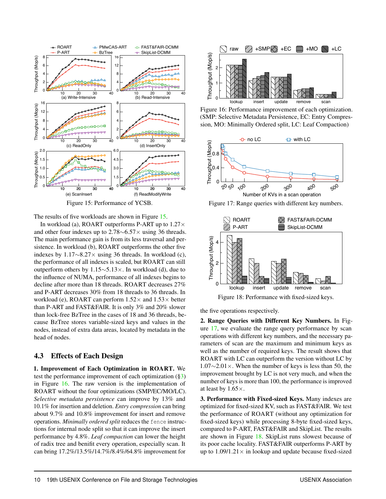<span id="page-10-0"></span>

The results of five workloads are shown in Figure [15.](#page-10-0)

In workload (a), ROART outperforms P-ART up to  $1.27 \times$ and other four indexes up to 2.78∼6.57× using 36 threads. The main performance gain is from its less traversal and persistence. In workload (b), ROART outperforms the other five indexes by 1.17∼8.27× using 36 threads. In workload (c), the performance of all indexes is scaled, but ROART can still outperform others by 1.15∼5.13×. In workload (d), due to the influence of NUMA, performance of all indexes begins to decline after more than 18 threads. ROART decreases 27% and P-ART decreases 30% from 18 threads to 36 threads. In workload (e), ROART can perform  $1.52\times$  and  $1.53\times$  better than P-ART and FAST&FAIR. It is only 3% and 20% slower than lock-free BzTree in the cases of 18 and 36 threads, because BzTree stores variable-sized keys and values in the nodes, instead of extra data areas, located by metadata in the head of nodes.

## 4.3 Effects of Each Design

1. Improvement of Each Optimization in ROART. We test the performance improvement of each optimization ([§3\)](#page-5-0) in Figure [16.](#page-10-1) The raw version is the implementation of ROART without the four optimizations (SMP/EC/MO/LC). *Selective metadata persistence* can improve by 13% and 10.1% for insertion and deletion. *Entry compression* can bring about 9.7% and 10.8% improvement for insert and remove operations. *Minimally ordered split* reduces the fence instructions for internal node split so that it can improve the insert performance by 4.8%. *Leaf compaction* can lower the height of radix tree and benifit every operation, especially scan. It can bring 17.2%/13.5%/14.7%/8.4%/64.8% improvement for

<span id="page-10-1"></span>

Figure 16: Performance improvement of each optimization. (SMP: Selective Metadata Persistence, EC: Entry Compression, MO: Minimally Ordered split, LC: Leaf Compaction)

<span id="page-10-2"></span>

Figure 17: Range queries with different key numbers.

<span id="page-10-3"></span>

Figure 18: Performance with fixed-sized keys.

the five operations respectively.

2. Range Queries with Different Key Numbers. In Figure [17,](#page-10-2) we evaluate the range query performance by scan operations with different key numbers, and the necessary parameters of scan are the maximum and minimum keys as well as the number of required keys. The result shows that ROART with LC can outperform the version without LC by 1.07∼2.01×. When the number of keys is less than 50, the improvement brought by LC is not very much, and when the number of keys is more than 100, the performance is improved at least by  $1.65\times$ .

3. Performance with Fixed-sized Keys. Many indexes are optimized for fixed-sized KV, such as FAST&FAIR. We test the performance of ROART (without any optimization for fixed-sized keys) while processing 8-byte fixed-sized keys, compared to P-ART, FAST&FAIR and SkipList. The results are shown in Figure [18.](#page-10-3) SkipList runs slowest because of its poor cache locality. FAST&FAIR outperforms P-ART by up to  $1.09/1.21 \times$  in lookup and update because fixed-sized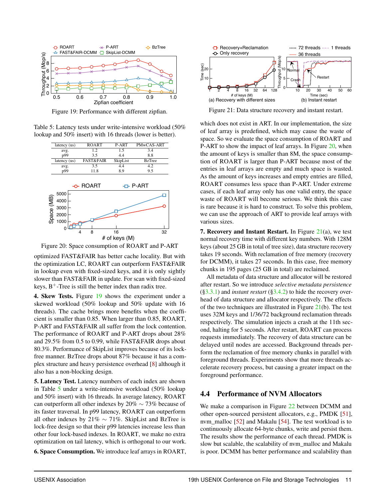<span id="page-11-0"></span>

Figure 19: Performance with different zipfian.

<span id="page-11-1"></span>Table 5: Latency tests under write-intensive workload (50% lookup and 50% insert) with 16 threads (lower is better).

<span id="page-11-2"></span>

Figure 20: Space consumption of ROART and P-ART

optimized FAST&FAIR has better cache locality. But with the optimization LC, ROART can outperform FAST&FAIR in lookup even with fixed-sized keys, and it is only sightly slower than FAST&FAIR in update. For scan with fixed-sized keys,  $B^+$ -Tree is still the better index than radix tree.

4. Skew Tests. Figure [19](#page-11-0) shows the experiment under a skewed workload (50% lookup and 50% update with 16 threads). The cache brings more benefits when the coefficient is smaller than 0.85. When larger than 0.85, ROART, P-ART and FAST&FAIR all suffer from the lock contention. The performance of ROART and P-ART drops about 28% and 29.5% from 0.5 to 0.99, while FAST&FAIR drops about 80.3%. Performance of SkipList improves because of its lockfree manner. BzTree drops about 87% because it has a complex structure and heavy persistence overhead [\[8\]](#page-13-10) although it also has a non-blocking design.

5. Latency Test. Latency numbers of each index are shown in Table [5](#page-11-1) under a write-intensive workload (50% lookup and 50% insert) with 16 threads. In average latency, ROART can outperform all other indexes by 20% ∼ 73% because of its faster traversal. In p99 latency, ROART can outperform all other indexes by 21%  $\sim$  71%. SkipList and BzTree is lock-free design so that their p99 latencies increase less than other four lock-based indexes. In ROART, we make no extra optimization on tail latency, which is orthogonal to our work.

6. Space Consumption. We introduce leaf arrays in ROART,

<span id="page-11-3"></span>

Figure 21: Data structure recovery and instant restart.

which does not exist in ART. In our implementation, the size of leaf array is predefined, which may cause the waste of space. So we evaluate the space consumption of ROART and P-ART to show the impact of leaf arrays. In Figure [20,](#page-11-2) when the amount of keys is smaller than 8M, the space consumption of ROART is larger than P-ART because most of the entries in leaf arrays are empty and much space is wasted. As the amount of keys increases and empty entries are filled, ROART consumes less space than P-ART. Under extreme cases, if each leaf array only has one valid entry, the space waste of ROART will become serious. We think this case is rare because it is hard to construct. To solve this problem, we can use the approach of ART to provide leaf arrays with various sizes.

7. Recovery and Instant Restart. In Figure  $21(a)$  $21(a)$ , we test normal recovery time with different key numbers. With 128M keys (about 25 GB in total of tree size), data structure recovery takes 19 seconds. With reclamation of free memory (recovery for DCMM), it takes 27 seconds. In this case, free memory chunks in 195 pages (25 GB in total) are reclaimed.

All metadata of data structure and allocator will be restored after restart. So we introduce *selective metadata persistence* ([§3.3.1\)](#page-7-0) and *instant restart* ([§3.4.2\)](#page-8-0) to hide the recovery overhead of data structure and allocator respectively. The effects of the two techniques are illustrated in Figure  $21(b)$  $21(b)$ . The test uses 32M keys and 1/36/72 background reclamation threads respectively. The simulation injects a crash at the 11th second, halting for 5 seconds. After restart, ROART can process requests immediately. The recovery of data structure can be delayed until nodes are accessed. Background threads perform the reclamation of free memory chunks in parallel with foreground threads. Experiments show that more threads accelerate recovery process, but causing a greater impact on the foreground performance.

## 4.4 Performance of NVM Allocators

We make a comparison in Figure [22](#page-12-1) between DCMM and other open-sourced persistent allocators, e.g., PMDK [\[51\]](#page-15-4), nvm\_malloc [\[52\]](#page-15-11) and Makalu [\[54\]](#page-15-6). The test workload is to continuously allocate 64-byte chunks, write and persist them. The results show the performance of each thread. PMDK is slow but scalable, the scalability of nvm\_malloc and Makalu is poor. DCMM has better performance and scalability than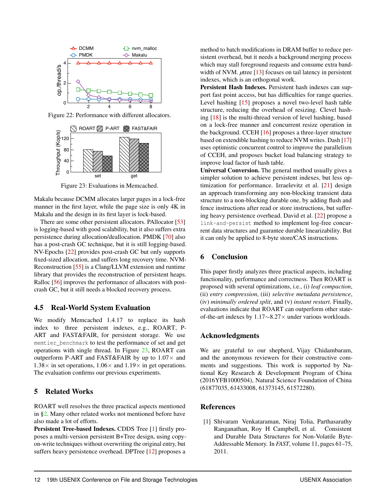<span id="page-12-1"></span>

<span id="page-12-2"></span>Figure 22: Performance with different allocators.



Figure 23: Evaluations in Memcached.

Makalu because DCMM allocates larger pages in a lock-free manner in the first layer, while the page size is only 4K in Makalu and the design in its first layer is lock-based.

There are some other persistent allocators. PAllocator [\[53\]](#page-15-5) is logging-based with good scalability, but it also suffers extra persistence during allocation/deallocation. PMDK [\[70\]](#page-16-1) also has a post-crash GC technique, but it is still logging-based. NV-Epochs [\[22\]](#page-13-1) provides post-crash GC but only supports fixed-sized allocation, and suffers long recovery time. NVM-Reconstruction [\[55\]](#page-15-21) is a Clang/LLVM extension and runtime library that provides the reconstruction of persistent heaps. Ralloc [\[56\]](#page-15-7) improves the performance of allocators with postcrash GC, but it still needs a blocked recovery process.

## 4.5 Real-World System Evaluation

We modify Memcached 1.4.17 to replace its hash index to three persistent indexes, e.g., ROART, P-ART and FAST&FAIR, for persistent storage. We use memtier\_benchmark to test the performance of set and get operations with single thread. In Figure [23,](#page-12-2) ROART can outperform P-ART and FAST&FAIR by up to  $1.07\times$  and  $1.38\times$  in set operations,  $1.06\times$  and  $1.19\times$  in get operations. The evaluation confirms our previous experiments.

## 5 Related Works

ROART well resolves the three practical aspects mentioned in [§2.](#page-2-1) Many other related works not mentioned before have also made a lot of efforts.

Persistent Tree-based Indexes. CDDS Tree [\[1\]](#page-12-0) firstly proposes a multi-version persistent B+Tree design, using copyon-write techniques without overwriting the original entry, but suffers heavy persistence overhead. DPTree [\[12\]](#page-13-13) proposes a

method to batch modifications in DRAM buffer to reduce persistent overhead, but it needs a background merging process which may stall foreground requests and consume extra bandwidth of NVM. *µtree* [\[13\]](#page-13-14) focuses on tail latency in persistent indexes, which is an orthogonal work.

Persistent Hash Indexes. Persistent hash indexes can support fast point access, but has difficulties for range queries. Level hashing [\[15\]](#page-13-15) proposes a novel two-level hash table structure, reducing the overhead of resizing. Clevel hashing [\[18\]](#page-13-12) is the multi-thread version of level hashing, based on a lock-free manner and concurrent resize operation in the background. CCEH [\[16\]](#page-13-16) proposes a three-layer structure based on extendible hashing to reduce NVM writes. Dash [\[17\]](#page-13-11) uses optimistic concurrent control to improve the parallelism of CCEH, and proposes bucket load balancing strategy to improve load factor of hash table.

Universal Conversion. The general method usually gives a simpler solution to achieve persistent indexes, but less optimization for performance. Izraelevitz et al. [\[21\]](#page-13-17) design an approach transforming any non-blocking transient data structure to a non-blocking durable one, by adding flush and fence instructions after read or store instructions, but suffering heavy persistence overhead. David et al. [\[22\]](#page-13-1) propose a link-and-persist method to implement log-free concurrent data structures and guarantee durable linearizability. But it can only be applied to 8-byte store/CAS instructions.

## 6 Conclusion

This paper firstly analyzes three practical aspects, including functionality, performance and correctness. Then ROART is proposed with several optimizations, i.e., (i) *leaf compaction*, (ii) *entry compression*, (iii) *selective metadata persistence*, (iv) *minimally ordered split*, and (v) *instant restart*. Finally, evaluations indicate that ROART can outperform other stateof-the-art indexes by 1.17∼8.27× under various workloads.

## Acknowledgments

We are grateful to our shepherd, Vijay Chidambaram, and the anonymous reviewers for their constructive comments and suggestions. This work is supported by National Key Research & Development Program of China (2016YFB1000504), Natural Science Foundation of China (61877035, 61433008, 61373145, 61572280).

## References

<span id="page-12-0"></span>[1] Shivaram Venkataraman, Niraj Tolia, Parthasarathy Ranganathan, Roy H Campbell, et al. Consistent and Durable Data Structures for Non-Volatile Byte-Addressable Memory. In *FAST*, volume 11, pages 61–75, 2011.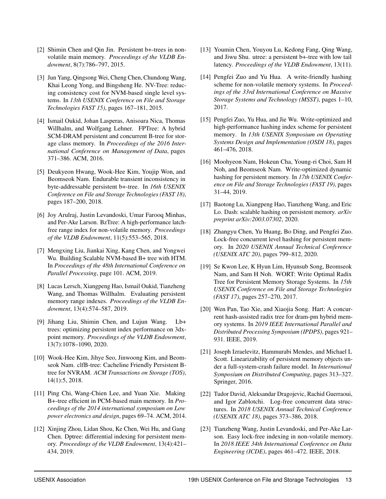- <span id="page-13-6"></span>[2] Shimin Chen and Qin Jin. Persistent b+-trees in nonvolatile main memory. *Proceedings of the VLDB Endowment*, 8(7):786–797, 2015.
- <span id="page-13-5"></span>[3] Jun Yang, Qingsong Wei, Cheng Chen, Chundong Wang, Khai Leong Yong, and Bingsheng He. NV-Tree: reducing consistency cost for NVM-based single level systems. In *13th USENIX Conference on File and Storage Technologies FAST 15)*, pages 167–181, 2015.
- <span id="page-13-7"></span>[4] Ismail Oukid, Johan Lasperas, Anisoara Nica, Thomas Willhalm, and Wolfgang Lehner. FPTree: A hybrid SCM-DRAM persistent and concurrent B-tree for storage class memory. In *Proceedings of the 2016 International Conference on Management of Data*, pages 371–386. ACM, 2016.
- <span id="page-13-3"></span>[5] Deukyeon Hwang, Wook-Hee Kim, Youjip Won, and Beomseok Nam. Endurable transient inconsistency in byte-addressable persistent b+-tree. In *16th USENIX Conference on File and Storage Technologies (FAST 18)*, pages 187–200, 2018.
- <span id="page-13-4"></span>[6] Joy Arulraj, Justin Levandoski, Umar Farooq Minhas, and Per-Ake Larson. BzTree: A high-performance latchfree range index for non-volatile memory. *Proceedings of the VLDB Endowment*, 11(5):553–565, 2018.
- <span id="page-13-8"></span>[7] Mengxing Liu, Jiankai Xing, Kang Chen, and Yongwei Wu. Building Scalable NVM-based B+ tree with HTM. In *Proceedings of the 48th International Conference on Parallel Processing*, page 101. ACM, 2019.
- <span id="page-13-10"></span>[8] Lucas Lersch, Xiangpeng Hao, Ismail Oukid, Tianzheng Wang, and Thomas Willhalm. Evaluating persistent memory range indexes. *Proceedings of the VLDB Endowment*, 13(4):574–587, 2019.
- <span id="page-13-9"></span>[9] Jihang Liu, Shimin Chen, and Lujun Wang. Lb+ trees: optimizing persistent index performance on 3dxpoint memory. *Proceedings of the VLDB Endowment*, 13(7):1078–1090, 2020.
- [10] Wook-Hee Kim, Jihye Seo, Jinwoong Kim, and Beomseok Nam. clfB-tree: Cacheline Friendly Persistent Btree for NVRAM. *ACM Transactions on Storage (TOS)*, 14(1):5, 2018.
- [11] Ping Chi, Wang-Chien Lee, and Yuan Xie. Making B+-tree efficient in PCM-based main memory. In *Proceedings of the 2014 international symposium on Low power electronics and design*, pages 69–74. ACM, 2014.
- <span id="page-13-13"></span>[12] Xinjing Zhou, Lidan Shou, Ke Chen, Wei Hu, and Gang Chen. Dptree: differential indexing for persistent memory. *Proceedings of the VLDB Endowment*, 13(4):421– 434, 2019.
- <span id="page-13-14"></span>[13] Youmin Chen, Youyou Lu, Kedong Fang, Oing Wang, and Jiwu Shu. utree: a persistent b+-tree with low tail latency. *Proceedings of the VLDB Endowment*, 13(11).
- [14] Pengfei Zuo and Yu Hua. A write-friendly hashing scheme for non-volatile memory systems. In *Proceedings of the 33rd International Conference on Massive Storage Systems and Technology (MSST)*, pages 1–10, 2017.
- <span id="page-13-15"></span>[15] Pengfei Zuo, Yu Hua, and Jie Wu. Write-optimized and high-performance hashing index scheme for persistent memory. In *13th USENIX Symposium on Operating Systems Design and Implementation (OSDI 18)*, pages 461–476, 2018.
- <span id="page-13-16"></span>[16] Moohyeon Nam, Hokeun Cha, Young-ri Choi, Sam H Noh, and Beomseok Nam. Write-optimized dynamic hashing for persistent memory. In *17th USENIX Conference on File and Storage Technologies (FAST 19)*, pages 31–44, 2019.
- <span id="page-13-11"></span>[17] Baotong Lu, Xiangpeng Hao, Tianzheng Wang, and Eric Lo. Dash: scalable hashing on persistent memory. *arXiv preprint arXiv:2003.07302*, 2020.
- <span id="page-13-12"></span>[18] Zhangyu Chen, Yu Huang, Bo Ding, and Pengfei Zuo. Lock-free concurrent level hashing for persistent memory. In *2020 USENIX Annual Technical Conference (USENIX ATC 20)*, pages 799–812, 2020.
- <span id="page-13-0"></span>[19] Se Kwon Lee, K Hyun Lim, Hyunsub Song, Beomseok Nam, and Sam H Noh. WORT: Write Optimal Radix Tree for Persistent Memory Storage Systems. In *15th USENIX Conference on File and Storage Technologies (FAST 17)*, pages 257–270, 2017.
- [20] Wen Pan, Tao Xie, and Xiaojia Song. Hart: A concurrent hash-assisted radix tree for dram-pm hybrid memory systems. In *2019 IEEE International Parallel and Distributed Processing Symposium (IPDPS)*, pages 921– 931. IEEE, 2019.
- <span id="page-13-17"></span>[21] Joseph Izraelevitz, Hammurabi Mendes, and Michael L Scott. Linearizability of persistent memory objects under a full-system-crash failure model. In *International Symposium on Distributed Computing*, pages 313–327. Springer, 2016.
- <span id="page-13-1"></span>[22] Tudor David, Aleksandar Dragojevic, Rachid Guerraoui, and Igor Zablotchi. Log-free concurrent data structures. In *2018 USENIX Annual Technical Conference (USENIX ATC 18)*, pages 373–386, 2018.
- <span id="page-13-2"></span>[23] Tianzheng Wang, Justin Levandoski, and Per-Ake Larson. Easy lock-free indexing in non-volatile memory. In *2018 IEEE 34th International Conference on Data Engineering (ICDE)*, pages 461–472. IEEE, 2018.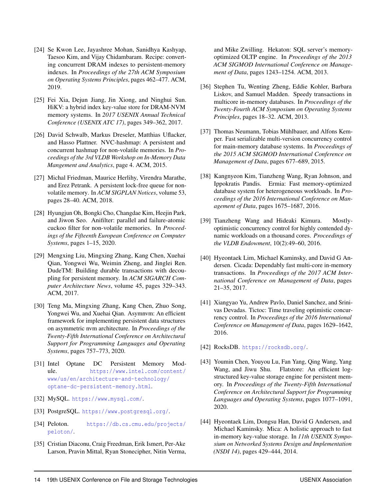- <span id="page-14-7"></span>[24] Se Kwon Lee, Jayashree Mohan, Sanidhya Kashyap, Taesoo Kim, and Vijay Chidambaram. Recipe: converting concurrent DRAM indexes to persistent-memory indexes. In *Proceedings of the 27th ACM Symposium on Operating Systems Principles*, pages 462–477. ACM, 2019.
- <span id="page-14-4"></span>[25] Fei Xia, Dejun Jiang, Jin Xiong, and Ninghui Sun. HiKV: a hybrid index key-value store for DRAM-NVM memory systems. In *2017 USENIX Annual Technical Conference (USENIX ATC 17)*, pages 349–362, 2017.
- <span id="page-14-6"></span>[26] David Schwalb, Markus Dreseler, Matthias Uflacker, and Hasso Plattner. NVC-hashmap: A persistent and concurrent hashmap for non-volatile memories. In *Proceedings of the 3rd VLDB Workshop on In-Memory Data Mangement and Analytics*, page 4. ACM, 2015.
- [27] Michal Friedman, Maurice Herlihy, Virendra Marathe, and Erez Petrank. A persistent lock-free queue for nonvolatile memory. In *ACM SIGPLAN Notices*, volume 53, pages 28–40. ACM, 2018.
- [28] Hyungjun Oh, Bongki Cho, Changdae Kim, Heejin Park, and Jiwon Seo. Anifilter: parallel and failure-atomic cuckoo filter for non-volatile memories. In *Proceedings of the Fifteenth European Conference on Computer Systems*, pages 1–15, 2020.
- [29] Mengxing Liu, Mingxing Zhang, Kang Chen, Xuehai Qian, Yongwei Wu, Weimin Zheng, and Jinglei Ren. DudeTM: Building durable transactions with decoupling for persistent memory. In *ACM SIGARCH Computer Architecture News*, volume 45, pages 329–343. ACM, 2017.
- <span id="page-14-0"></span>[30] Teng Ma, Mingxing Zhang, Kang Chen, Zhuo Song, Yongwei Wu, and Xuehai Qian. Asymnvm: An efficient framework for implementing persistent data structures on asymmetric nvm architecture. In *Proceedings of the Twenty-Fifth International Conference on Architectural Support for Programming Languages and Operating Systems*, pages 757–773, 2020.
- <span id="page-14-1"></span>[31] Intel Optane DC Persistent Memory Module. [https://www.intel.com/content/](https://www.intel.com/content/www/us/en/architecture-and-technology/optane-dc-persistent-memory.html) [www/us/en/architecture-and-technology/](https://www.intel.com/content/www/us/en/architecture-and-technology/optane-dc-persistent-memory.html) [optane-dc-persistent-memory.html](https://www.intel.com/content/www/us/en/architecture-and-technology/optane-dc-persistent-memory.html).
- <span id="page-14-2"></span>[32] MySQL. <https://www.mysql.com/>.
- <span id="page-14-8"></span>[33] PostgreSQL. <https://www.postgresql.org/>.
- [34] Peloton. [https://db.cs.cmu.edu/projects/](https://db.cs.cmu.edu/projects/peloton/) [peloton/](https://db.cs.cmu.edu/projects/peloton/).
- [35] Cristian Diaconu, Craig Freedman, Erik Ismert, Per-Ake Larson, Pravin Mittal, Ryan Stonecipher, Nitin Verma,

and Mike Zwilling. Hekaton: SQL server's memoryoptimized OLTP engine. In *Proceedings of the 2013 ACM SIGMOD International Conference on Management of Data*, pages 1243–1254. ACM, 2013.

- [36] Stephen Tu, Wenting Zheng, Eddie Kohler, Barbara Liskov, and Samuel Madden. Speedy transactions in multicore in-memory databases. In *Proceedings of the Twenty-Fourth ACM Symposium on Operating Systems Principles*, pages 18–32. ACM, 2013.
- [37] Thomas Neumann, Tobias Mühlbauer, and Alfons Kemper. Fast serializable multi-version concurrency control for main-memory database systems. In *Proceedings of the 2015 ACM SIGMOD International Conference on Management of Data*, pages 677–689, 2015.
- [38] Kangnyeon Kim, Tianzheng Wang, Ryan Johnson, and Ippokratis Pandis. Ermia: Fast memory-optimized database system for heterogeneous workloads. In *Proceedings of the 2016 International Conference on Management of Data*, pages 1675–1687, 2016.
- [39] Tianzheng Wang and Hideaki Kimura. Mostlyoptimistic concurrency control for highly contended dynamic workloads on a thousand cores. *Proceedings of the VLDB Endowment*, 10(2):49–60, 2016.
- [40] Hyeontaek Lim, Michael Kaminsky, and David G Andersen. Cicada: Dependably fast multi-core in-memory transactions. In *Proceedings of the 2017 ACM International Conference on Management of Data*, pages 21–35, 2017.
- <span id="page-14-3"></span>[41] Xiangyao Yu, Andrew Pavlo, Daniel Sanchez, and Srinivas Devadas. Tictoc: Time traveling optimistic concurrency control. In *Proceedings of the 2016 International Conference on Management of Data*, pages 1629–1642, 2016.
- <span id="page-14-5"></span>[42] RocksDB. <https://rocksdb.org/>.
- [43] Youmin Chen, Youyou Lu, Fan Yang, Qing Wang, Yang Wang, and Jiwu Shu. Flatstore: An efficient logstructured key-value storage engine for persistent memory. In *Proceedings of the Twenty-Fifth International Conference on Architectural Support for Programming Languages and Operating Systems*, pages 1077–1091, 2020.
- [44] Hyeontaek Lim, Dongsu Han, David G Andersen, and Michael Kaminsky. Mica: A holistic approach to fast in-memory key-value storage. In *11th USENIX Symposium on Networked Systems Design and Implementation (NSDI 14)*, pages 429–444, 2014.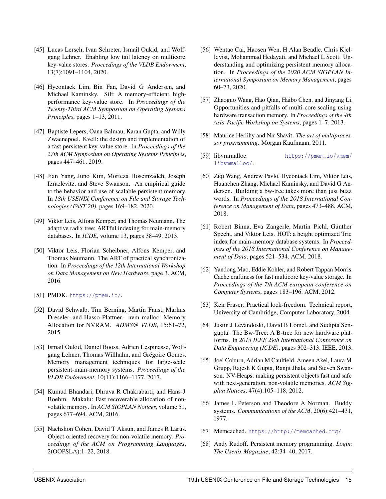- [45] Lucas Lersch, Ivan Schreter, Ismail Oukid, and Wolfgang Lehner. Enabling low tail latency on multicore key-value stores. *Proceedings of the VLDB Endowment*, 13(7):1091–1104, 2020.
- [46] Hyeontaek Lim, Bin Fan, David G Andersen, and Michael Kaminsky. Silt: A memory-efficient, highperformance key-value store. In *Proceedings of the Twenty-Third ACM Symposium on Operating Systems Principles*, pages 1–13, 2011.
- <span id="page-15-0"></span>[47] Baptiste Lepers, Oana Balmau, Karan Gupta, and Willy Zwaenepoel. Kvell: the design and implementation of a fast persistent key-value store. In *Proceedings of the 27th ACM Symposium on Operating Systems Principles*, pages 447–461, 2019.
- <span id="page-15-1"></span>[48] Jian Yang, Juno Kim, Morteza Hoseinzadeh, Joseph Izraelevitz, and Steve Swanson. An empirical guide to the behavior and use of scalable persistent memory. In *18th USENIX Conference on File and Storage Technologies (FAST 20)*, pages 169–182, 2020.
- <span id="page-15-2"></span>[49] Viktor Leis, Alfons Kemper, and Thomas Neumann. The adaptive radix tree: ARTful indexing for main-memory databases. In *ICDE*, volume 13, pages 38–49, 2013.
- <span id="page-15-3"></span>[50] Viktor Leis, Florian Scheibner, Alfons Kemper, and Thomas Neumann. The ART of practical synchronization. In *Proceedings of the 12th International Workshop on Data Management on New Hardware*, page 3. ACM, 2016.
- <span id="page-15-4"></span>[51] PMDK. <https://pmem.io/>.
- <span id="page-15-11"></span>[52] David Schwalb, Tim Berning, Martin Faust, Markus Dreseler, and Hasso Plattner. nvm malloc: Memory Allocation for NVRAM. *ADMS@ VLDB*, 15:61–72, 2015.
- <span id="page-15-5"></span>[53] Ismail Oukid, Daniel Booss, Adrien Lespinasse, Wolfgang Lehner, Thomas Willhalm, and Grégoire Gomes. Memory management techniques for large-scale persistent-main-memory systems. *Proceedings of the VLDB Endowment*, 10(11):1166–1177, 2017.
- <span id="page-15-6"></span>[54] Kumud Bhandari, Dhruva R Chakrabarti, and Hans-J Boehm. Makalu: Fast recoverable allocation of nonvolatile memory. In *ACM SIGPLAN Notices*, volume 51, pages 677–694. ACM, 2016.
- <span id="page-15-21"></span>[55] Nachshon Cohen, David T Aksun, and James R Larus. Object-oriented recovery for non-volatile memory. *Proceedings of the ACM on Programming Languages*, 2(OOPSLA):1–22, 2018.
- <span id="page-15-7"></span>[56] Wentao Cai, Haosen Wen, H Alan Beadle, Chris Kjellqvist, Mohammad Hedayati, and Michael L Scott. Understanding and optimizing persistent memory allocation. In *Proceedings of the 2020 ACM SIGPLAN International Symposium on Memory Management*, pages 60–73, 2020.
- <span id="page-15-8"></span>[57] Zhaoguo Wang, Hao Qian, Haibo Chen, and Jinyang Li. Opportunities and pitfalls of multi-core scaling using hardware transaction memory. In *Proceedings of the 4th Asia-Pacific Workshop on Systems*, pages 1–7, 2013.
- <span id="page-15-9"></span>[58] Maurice Herlihy and Nir Shavit. *The art of multiprocessor programming*. Morgan Kaufmann, 2011.
- <span id="page-15-10"></span>[59] libvmmalloc. [https://pmem.io/vmem/](https://pmem.io/vmem/libvmmalloc/) [libvmmalloc/](https://pmem.io/vmem/libvmmalloc/).
- <span id="page-15-12"></span>[60] Ziqi Wang, Andrew Pavlo, Hyeontaek Lim, Viktor Leis, Huanchen Zhang, Michael Kaminsky, and David G Andersen. Building a bw-tree takes more than just buzz words. In *Proceedings of the 2018 International Conference on Management of Data*, pages 473–488. ACM, 2018.
- <span id="page-15-15"></span>[61] Robert Binna, Eva Zangerle, Martin Pichl, Günther Specht, and Viktor Leis. HOT: a height optimized Trie index for main-memory database systems. In *Proceedings of the 2018 International Conference on Management of Data*, pages 521–534. ACM, 2018.
- <span id="page-15-13"></span>[62] Yandong Mao, Eddie Kohler, and Robert Tappan Morris. Cache craftiness for fast multicore key-value storage. In *Proceedings of the 7th ACM european conference on Computer Systems*, pages 183–196. ACM, 2012.
- <span id="page-15-14"></span>[63] Keir Fraser. Practical lock-freedom. Technical report, University of Cambridge, Computer Laboratory, 2004.
- <span id="page-15-16"></span>[64] Justin J Levandoski, David B Lomet, and Sudipta Sengupta. The Bw-Tree: A B-tree for new hardware platforms. In *2013 IEEE 29th International Conference on Data Engineering (ICDE)*, pages 302–313. IEEE, 2013.
- <span id="page-15-17"></span>[65] Joel Coburn, Adrian M Caulfield, Ameen Akel, Laura M Grupp, Rajesh K Gupta, Ranjit Jhala, and Steven Swanson. NV-Heaps: making persistent objects fast and safe with next-generation, non-volatile memories. *ACM Sigplan Notices*, 47(4):105–118, 2012.
- <span id="page-15-18"></span>[66] James L Peterson and Theodore A Norman. Buddy systems. *Communications of the ACM*, 20(6):421–431, 1977.
- <span id="page-15-19"></span>[67] Memcached. <https://http://memcached.org/>.
- <span id="page-15-20"></span>[68] Andy Rudoff. Persistent memory programming. *Login: The Usenix Magazine*, 42:34–40, 2017.